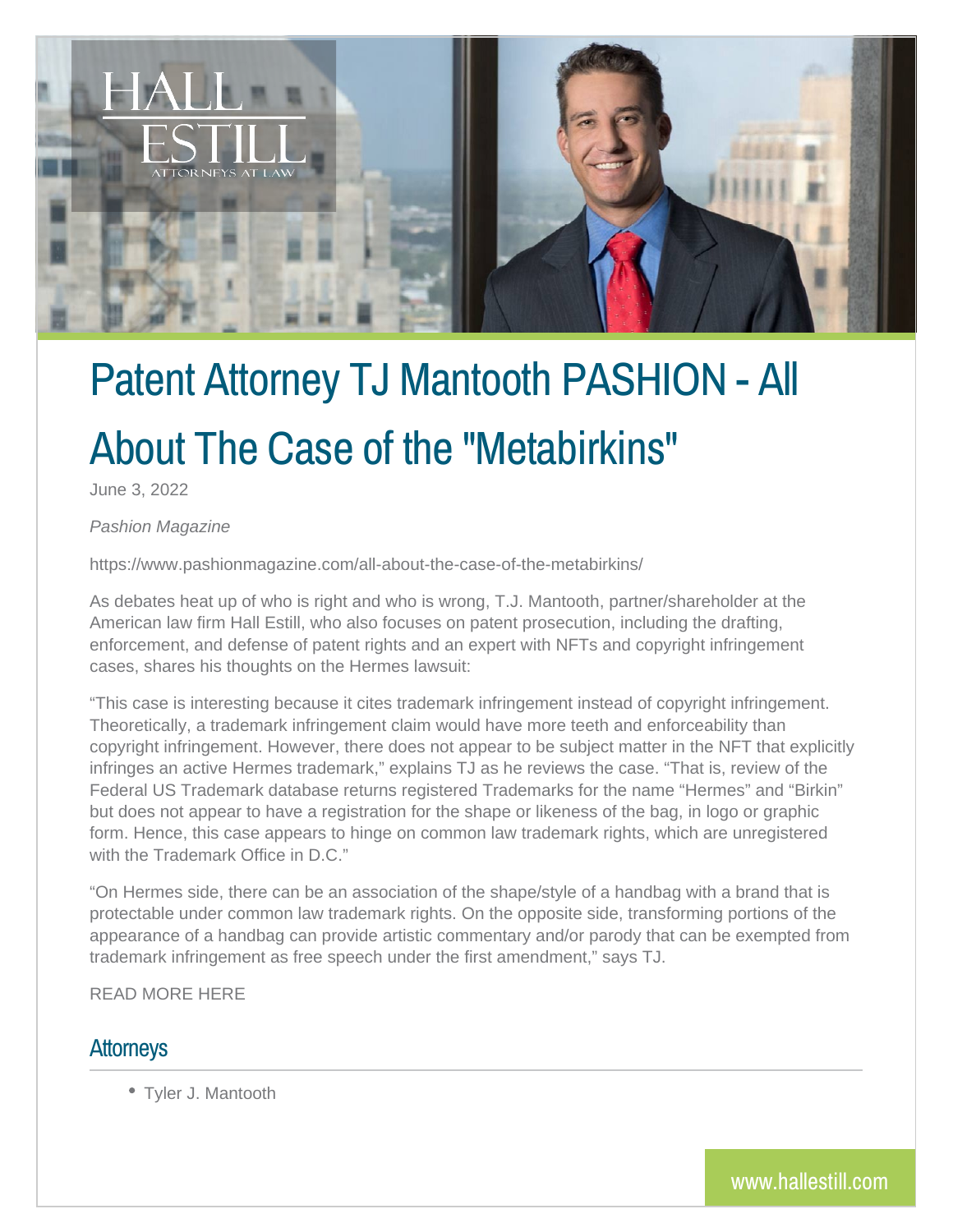

## Patent Attorney TJ Mantooth PASHION - All About The Case of the "Metabirkins"

June 3, 2022

*Pashion Magazine*

https://www.pashionmagazine.com/all-about-the-case-of-the-metabirkins/

As debates heat up of who is right and who is wrong, T.J. Mantooth, partner/shareholder at the American law firm Hall Estill, who also focuses on patent prosecution, including the drafting, enforcement, and defense of patent rights and an expert with NFTs and copyright infringement cases, shares his thoughts on the Hermes lawsuit:

"This case is interesting because it cites trademark infringement instead of copyright infringement. Theoretically, a trademark infringement claim would have more teeth and enforceability than copyright infringement. However, there does not appear to be subject matter in the NFT that explicitly infringes an active Hermes trademark," explains TJ as he reviews the case. "That is, review of the Federal US Trademark database returns registered Trademarks for the name "Hermes" and "Birkin" but does not appear to have a registration for the shape or likeness of the bag, in logo or graphic form. Hence, this case appears to hinge on common law trademark rights, which are unregistered with the Trademark Office in D.C."

"On Hermes side, there can be an association of the shape/style of a handbag with a brand that is protectable under common law trademark rights. On the opposite side, transforming portions of the appearance of a handbag can provide artistic commentary and/or parody that can be exempted from trademark infringement as free speech under the first amendment," says TJ.

READ MORE HERE

## **Attorneys**

Tyler J. Mantooth